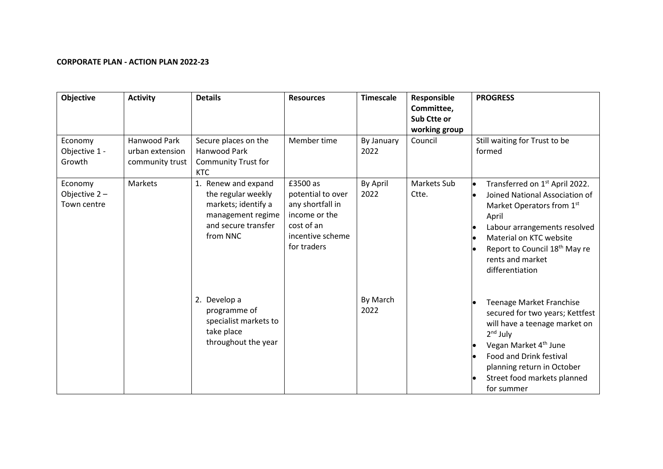## **CORPORATE PLAN - ACTION PLAN 2022-23**

| <b>Objective</b>                       | <b>Activity</b>                                    | <b>Details</b>                                                                                                           | <b>Resources</b>                                                                                                    | <b>Timescale</b>   | Responsible<br>Committee,<br>Sub Ctte or<br>working group | <b>PROGRESS</b>                                                                                                                                                                                                                                                   |
|----------------------------------------|----------------------------------------------------|--------------------------------------------------------------------------------------------------------------------------|---------------------------------------------------------------------------------------------------------------------|--------------------|-----------------------------------------------------------|-------------------------------------------------------------------------------------------------------------------------------------------------------------------------------------------------------------------------------------------------------------------|
| Economy<br>Objective 1 -<br>Growth     | Hanwood Park<br>urban extension<br>community trust | Secure places on the<br>Hanwood Park<br><b>Community Trust for</b><br><b>KTC</b>                                         | Member time                                                                                                         | By January<br>2022 | Council                                                   | Still waiting for Trust to be<br>formed                                                                                                                                                                                                                           |
| Economy<br>Objective 2-<br>Town centre | Markets                                            | 1. Renew and expand<br>the regular weekly<br>markets; identify a<br>management regime<br>and secure transfer<br>from NNC | £3500 as<br>potential to over<br>any shortfall in<br>income or the<br>cost of an<br>incentive scheme<br>for traders | By April<br>2022   | Markets Sub<br>Ctte.                                      | Transferred on 1 <sup>st</sup> April 2022.<br>Joined National Association of<br>Market Operators from 1st<br>April<br>Labour arrangements resolved<br>Material on KTC website<br>Report to Council 18 <sup>th</sup> May re<br>rents and market<br>differentiation |
|                                        |                                                    | 2. Develop a<br>programme of<br>specialist markets to<br>take place<br>throughout the year                               |                                                                                                                     | By March<br>2022   |                                                           | <b>Teenage Market Franchise</b><br>secured for two years; Kettfest<br>will have a teenage market on<br>$2nd$ July<br>Vegan Market 4 <sup>th</sup> June<br>Food and Drink festival<br>planning return in October<br>Street food markets planned<br>for summer      |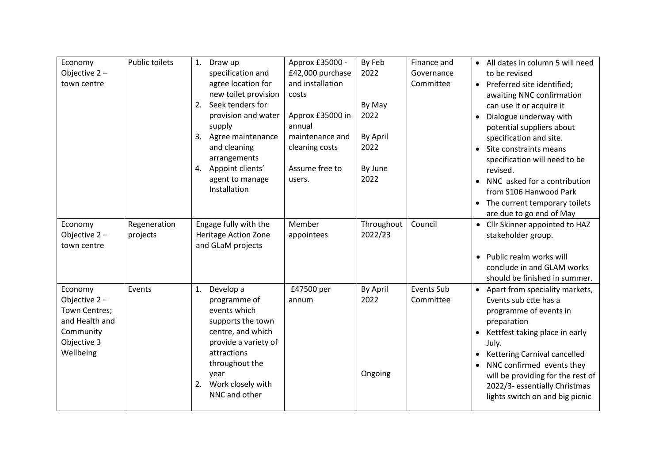| Economy        | <b>Public toilets</b> | Draw up<br>1.                       | Approx £35000 -  | By Feb     | Finance and       | • All dates in column 5 will need                                |
|----------------|-----------------------|-------------------------------------|------------------|------------|-------------------|------------------------------------------------------------------|
| Objective 2-   |                       | specification and                   | £42,000 purchase | 2022       | Governance        | to be revised                                                    |
| town centre    |                       | agree location for                  | and installation |            | Committee         | • Preferred site identified;                                     |
|                |                       | new toilet provision                | costs            |            |                   | awaiting NNC confirmation                                        |
|                |                       | 2. Seek tenders for                 |                  | By May     |                   | can use it or acquire it                                         |
|                |                       | provision and water                 | Approx £35000 in | 2022       |                   | Dialogue underway with                                           |
|                |                       | supply                              | annual           |            |                   | potential suppliers about                                        |
|                |                       | Agree maintenance<br>3.             | maintenance and  | By April   |                   | specification and site.                                          |
|                |                       | and cleaning                        | cleaning costs   | 2022       |                   | Site constraints means                                           |
|                |                       | arrangements                        |                  |            |                   | specification will need to be                                    |
|                |                       | 4. Appoint clients'                 | Assume free to   | By June    |                   | revised.                                                         |
|                |                       | agent to manage                     | users.           | 2022       |                   | NNC asked for a contribution<br>$\bullet$                        |
|                |                       | Installation                        |                  |            |                   | from S106 Hanwood Park                                           |
|                |                       |                                     |                  |            |                   | • The current temporary toilets                                  |
|                |                       |                                     |                  |            |                   | are due to go end of May                                         |
| Economy        | Regeneration          | Engage fully with the               | Member           | Throughout | Council           | • Cllr Skinner appointed to HAZ                                  |
| Objective 2-   | projects              | <b>Heritage Action Zone</b>         | appointees       | 2022/23    |                   | stakeholder group.                                               |
| town centre    |                       | and GLaM projects                   |                  |            |                   |                                                                  |
|                |                       |                                     |                  |            |                   | • Public realm works will                                        |
|                |                       |                                     |                  |            |                   | conclude in and GLAM works                                       |
|                |                       |                                     |                  |            |                   | should be finished in summer.                                    |
| Economy        | Events                | Develop a<br>1.                     | £47500 per       | By April   | <b>Events Sub</b> | • Apart from speciality markets,                                 |
| Objective 2-   |                       | programme of                        | annum            | 2022       | Committee         | Events sub ctte has a                                            |
| Town Centres;  |                       | events which                        |                  |            |                   | programme of events in                                           |
| and Health and |                       | supports the town                   |                  |            |                   | preparation                                                      |
| Community      |                       | centre, and which                   |                  |            |                   | Kettfest taking place in early                                   |
| Objective 3    |                       | provide a variety of<br>attractions |                  |            |                   | July.                                                            |
| Wellbeing      |                       | throughout the                      |                  |            |                   | • Kettering Carnival cancelled                                   |
|                |                       | year                                |                  | Ongoing    |                   | NNC confirmed events they                                        |
|                |                       | 2. Work closely with                |                  |            |                   | will be providing for the rest of                                |
|                |                       | NNC and other                       |                  |            |                   | 2022/3- essentially Christmas<br>lights switch on and big picnic |
|                |                       |                                     |                  |            |                   |                                                                  |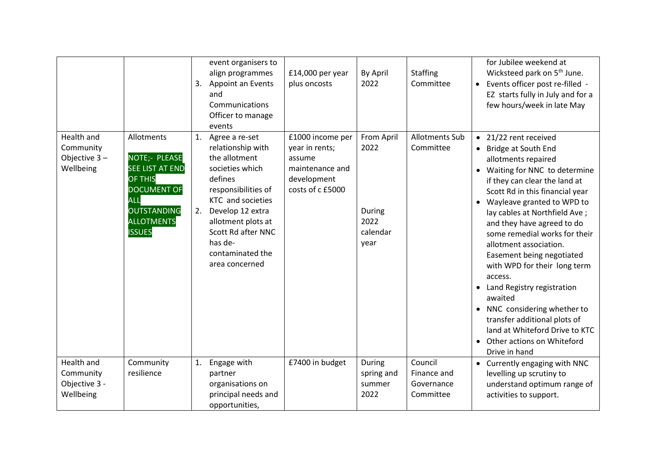|                                                       |                                                                                                                                                                         | 3.       | event organisers to<br>align programmes<br>Appoint an Events<br>and<br>Communications<br>Officer to manage<br>events                                                                                                                            | $£14,000$ per year<br>plus oncosts                                                                 | By April<br>2022                                         | <b>Staffing</b><br>Committee                      | for Jubilee weekend at<br>Wicksteed park on 5 <sup>th</sup> June.<br>• Events officer post re-filled -<br>EZ starts fully in July and for a<br>few hours/week in late May                                                                                                                                                                                                                                                                                                                                                                                                                                              |
|-------------------------------------------------------|-------------------------------------------------------------------------------------------------------------------------------------------------------------------------|----------|-------------------------------------------------------------------------------------------------------------------------------------------------------------------------------------------------------------------------------------------------|----------------------------------------------------------------------------------------------------|----------------------------------------------------------|---------------------------------------------------|------------------------------------------------------------------------------------------------------------------------------------------------------------------------------------------------------------------------------------------------------------------------------------------------------------------------------------------------------------------------------------------------------------------------------------------------------------------------------------------------------------------------------------------------------------------------------------------------------------------------|
| Health and<br>Community<br>Objective 3-<br>Wellbeing  | Allotments<br>NOTE;- PLEASE<br><b>SEE LIST AT END</b><br><b>OF THIS</b><br><b>DOCUMENT OF</b><br><b>ALL</b><br><b>OUTSTANDING</b><br><b>ALLOTMENTS</b><br><b>ISSUES</b> | 1.<br>2. | Agree a re-set<br>relationship with<br>the allotment<br>societies which<br>defines<br>responsibilities of<br>KTC and societies<br>Develop 12 extra<br>allotment plots at<br>Scott Rd after NNC<br>has de-<br>contaminated the<br>area concerned | £1000 income per<br>year in rents;<br>assume<br>maintenance and<br>development<br>costs of c £5000 | From April<br>2022<br>During<br>2022<br>calendar<br>year | <b>Allotments Sub</b><br>Committee                | • 21/22 rent received<br>• Bridge at South End<br>allotments repaired<br>• Waiting for NNC to determine<br>if they can clear the land at<br>Scott Rd in this financial year<br>• Wayleave granted to WPD to<br>lay cables at Northfield Ave;<br>and they have agreed to do<br>some remedial works for their<br>allotment association.<br>Easement being negotiated<br>with WPD for their long term<br>access.<br>• Land Registry registration<br>awaited<br>• NNC considering whether to<br>transfer additional plots of<br>land at Whiteford Drive to KTC<br>Other actions on Whiteford<br>$\bullet$<br>Drive in hand |
| Health and<br>Community<br>Objective 3 -<br>Wellbeing | Community<br>resilience                                                                                                                                                 | 1.       | Engage with<br>partner<br>organisations on<br>principal needs and<br>opportunities,                                                                                                                                                             | £7400 in budget                                                                                    | During<br>spring and<br>summer<br>2022                   | Council<br>Finance and<br>Governance<br>Committee | • Currently engaging with NNC<br>levelling up scrutiny to<br>understand optimum range of<br>activities to support.                                                                                                                                                                                                                                                                                                                                                                                                                                                                                                     |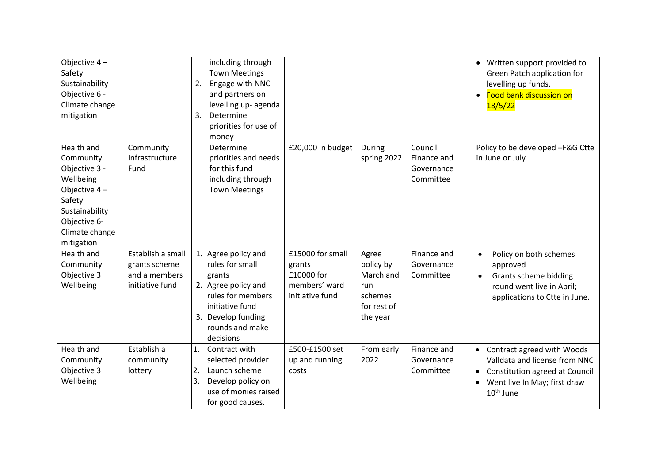| Objective $4-$<br>Safety<br>Sustainability<br>Objective 6 -<br>Climate change<br>mitigation                                                         |                                                                        | including through<br><b>Town Meetings</b><br>Engage with NNC<br>2.<br>and partners on<br>levelling up- agenda<br>Determine<br>3.<br>priorities for use of<br>money    |                                                                              |                                                                              |                                                   | • Written support provided to<br>Green Patch application for<br>levelling up funds.<br>Food bank discussion on<br>$\bullet$<br>18/5/22              |
|-----------------------------------------------------------------------------------------------------------------------------------------------------|------------------------------------------------------------------------|-----------------------------------------------------------------------------------------------------------------------------------------------------------------------|------------------------------------------------------------------------------|------------------------------------------------------------------------------|---------------------------------------------------|-----------------------------------------------------------------------------------------------------------------------------------------------------|
| Health and<br>Community<br>Objective 3 -<br>Wellbeing<br>Objective $4-$<br>Safety<br>Sustainability<br>Objective 6-<br>Climate change<br>mitigation | Community<br>Infrastructure<br>Fund                                    | Determine<br>priorities and needs<br>for this fund<br>including through<br><b>Town Meetings</b>                                                                       | £20,000 in budget                                                            | During<br>spring 2022                                                        | Council<br>Finance and<br>Governance<br>Committee | Policy to be developed -F&G Ctte<br>in June or July                                                                                                 |
| <b>Health and</b><br>Community<br>Objective 3<br>Wellbeing                                                                                          | Establish a small<br>grants scheme<br>and a members<br>initiative fund | 1. Agree policy and<br>rules for small<br>grants<br>2. Agree policy and<br>rules for members<br>initiative fund<br>3. Develop funding<br>rounds and make<br>decisions | £15000 for small<br>grants<br>£10000 for<br>members' ward<br>initiative fund | Agree<br>policy by<br>March and<br>run<br>schemes<br>for rest of<br>the year | Finance and<br>Governance<br>Committee            | Policy on both schemes<br>$\bullet$<br>approved<br>Grants scheme bidding<br>$\bullet$<br>round went live in April;<br>applications to Ctte in June. |
| Health and<br>Community<br>Objective 3<br>Wellbeing                                                                                                 | Establish a<br>community<br>lottery                                    | 1.<br>Contract with<br>selected provider<br>Launch scheme<br>2.<br>Develop policy on<br>3.<br>use of monies raised<br>for good causes.                                | £500-£1500 set<br>up and running<br>costs                                    | From early<br>2022                                                           | Finance and<br>Governance<br>Committee            | • Contract agreed with Woods<br>Valldata and license from NNC<br>• Constitution agreed at Council<br>• Went live In May; first draw<br>$10th$ June  |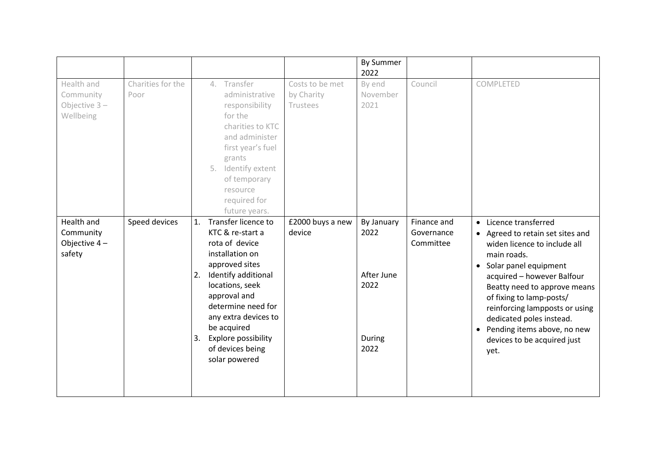|                                                         |                           |                |                                                                                                                                                                                                                                                                                          |                                           | <b>By Summer</b><br>2022                                   |                                        |                                                                                                                                                                                                                                                                                                                                                                     |
|---------------------------------------------------------|---------------------------|----------------|------------------------------------------------------------------------------------------------------------------------------------------------------------------------------------------------------------------------------------------------------------------------------------------|-------------------------------------------|------------------------------------------------------------|----------------------------------------|---------------------------------------------------------------------------------------------------------------------------------------------------------------------------------------------------------------------------------------------------------------------------------------------------------------------------------------------------------------------|
| Health and<br>Community<br>Objective $3 -$<br>Wellbeing | Charities for the<br>Poor |                | Transfer<br>4.<br>administrative<br>responsibility<br>for the<br>charities to KTC<br>and administer<br>first year's fuel<br>grants<br>5. Identify extent<br>of temporary<br>resource<br>required for<br>future years.                                                                    | Costs to be met<br>by Charity<br>Trustees | By end<br>November<br>2021                                 | Council                                | COMPLETED                                                                                                                                                                                                                                                                                                                                                           |
| Health and<br>Community<br>Objective 4-<br>safety       | Speed devices             | 1.<br>2.<br>3. | Transfer licence to<br>KTC & re-start a<br>rota of device<br>installation on<br>approved sites<br>Identify additional<br>locations, seek<br>approval and<br>determine need for<br>any extra devices to<br>be acquired<br><b>Explore possibility</b><br>of devices being<br>solar powered | £2000 buys a new<br>device                | By January<br>2022<br>After June<br>2022<br>During<br>2022 | Finance and<br>Governance<br>Committee | • Licence transferred<br>• Agreed to retain set sites and<br>widen licence to include all<br>main roads.<br>• Solar panel equipment<br>acquired - however Balfour<br>Beatty need to approve means<br>of fixing to lamp-posts/<br>reinforcing lampposts or using<br>dedicated poles instead.<br>• Pending items above, no new<br>devices to be acquired just<br>yet. |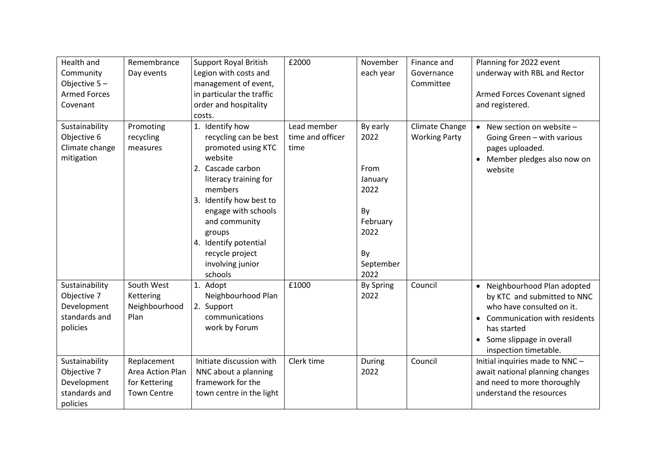| Health and<br>Community<br>Objective 5-<br><b>Armed Forces</b><br>Covenant | Remembrance<br>Day events                                              | <b>Support Royal British</b><br>Legion with costs and<br>management of event,<br>in particular the traffic<br>order and hospitality<br>costs.                                                                                                                                                 | £2000                                   | November<br>each year                                                                            | Finance and<br>Governance<br>Committee | Planning for 2022 event<br>underway with RBL and Rector<br>Armed Forces Covenant signed<br>and registered.                                                                                       |
|----------------------------------------------------------------------------|------------------------------------------------------------------------|-----------------------------------------------------------------------------------------------------------------------------------------------------------------------------------------------------------------------------------------------------------------------------------------------|-----------------------------------------|--------------------------------------------------------------------------------------------------|----------------------------------------|--------------------------------------------------------------------------------------------------------------------------------------------------------------------------------------------------|
| Sustainability<br>Objective 6<br>Climate change<br>mitigation              | Promoting<br>recycling<br>measures                                     | 1. Identify how<br>recycling can be best<br>promoted using KTC<br>website<br>2. Cascade carbon<br>literacy training for<br>members<br>Identify how best to<br>3.<br>engage with schools<br>and community<br>groups<br>4. Identify potential<br>recycle project<br>involving junior<br>schools | Lead member<br>time and officer<br>time | By early<br>2022<br>From<br>January<br>2022<br>By<br>February<br>2022<br>By<br>September<br>2022 | Climate Change<br><b>Working Party</b> | • New section on website $-$<br>Going Green - with various<br>pages uploaded.<br>Member pledges also now on<br>$\bullet$<br>website                                                              |
| Sustainability<br>Objective 7<br>Development<br>standards and<br>policies  | South West<br>Kettering<br>Neighbourhood<br>Plan                       | 1. Adopt<br>Neighbourhood Plan<br>2. Support<br>communications<br>work by Forum                                                                                                                                                                                                               | £1000                                   | <b>By Spring</b><br>2022                                                                         | Council                                | • Neighbourhood Plan adopted<br>by KTC and submitted to NNC<br>who have consulted on it.<br>• Communication with residents<br>has started<br>• Some slippage in overall<br>inspection timetable. |
| Sustainability<br>Objective 7<br>Development<br>standards and<br>policies  | Replacement<br>Area Action Plan<br>for Kettering<br><b>Town Centre</b> | Initiate discussion with<br>NNC about a planning<br>framework for the<br>town centre in the light                                                                                                                                                                                             | Clerk time                              | During<br>2022                                                                                   | Council                                | Initial inquiries made to NNC-<br>await national planning changes<br>and need to more thoroughly<br>understand the resources                                                                     |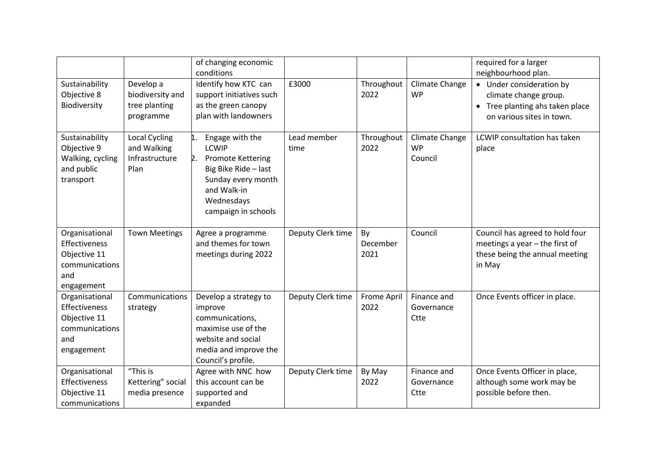|                                                                                        |                                                             | of changing economic<br>conditions                                                                                                                                        |                     |                        |                                        | required for a larger<br>neighbourhood plan.                                                                      |
|----------------------------------------------------------------------------------------|-------------------------------------------------------------|---------------------------------------------------------------------------------------------------------------------------------------------------------------------------|---------------------|------------------------|----------------------------------------|-------------------------------------------------------------------------------------------------------------------|
| Sustainability<br>Objective 8<br>Biodiversity                                          | Develop a<br>biodiversity and<br>tree planting<br>programme | Identify how KTC can<br>support initiatives such<br>as the green canopy<br>plan with landowners                                                                           | £3000               | Throughout<br>2022     | Climate Change<br><b>WP</b>            | • Under consideration by<br>climate change group.<br>• Tree planting ahs taken place<br>on various sites in town. |
| Sustainability<br>Objective 9<br>Walking, cycling<br>and public<br>transport           | Local Cycling<br>and Walking<br>Infrastructure<br>Plan      | Engage with the<br>1.<br><b>LCWIP</b><br>2.<br><b>Promote Kettering</b><br>Big Bike Ride - last<br>Sunday every month<br>and Walk-in<br>Wednesdays<br>campaign in schools | Lead member<br>time | Throughout<br>2022     | Climate Change<br><b>WP</b><br>Council | LCWIP consultation has taken<br>place                                                                             |
| Organisational<br>Effectiveness<br>Objective 11<br>communications<br>and<br>engagement | <b>Town Meetings</b>                                        | Agree a programme<br>and themes for town<br>meetings during 2022                                                                                                          | Deputy Clerk time   | By<br>December<br>2021 | Council                                | Council has agreed to hold four<br>meetings a year $-$ the first of<br>these being the annual meeting<br>in May   |
| Organisational<br>Effectiveness<br>Objective 11<br>communications<br>and<br>engagement | Communications<br>strategy                                  | Develop a strategy to<br>improve<br>communications,<br>maximise use of the<br>website and social<br>media and improve the<br>Council's profile.                           | Deputy Clerk time   | Frome April<br>2022    | Finance and<br>Governance<br>Ctte      | Once Events officer in place.                                                                                     |
| Organisational<br>Effectiveness<br>Objective 11<br>communications                      | "This is<br>Kettering" social<br>media presence             | Agree with NNC how<br>this account can be<br>supported and<br>expanded                                                                                                    | Deputy Clerk time   | By May<br>2022         | Finance and<br>Governance<br>Ctte      | Once Events Officer in place,<br>although some work may be<br>possible before then.                               |